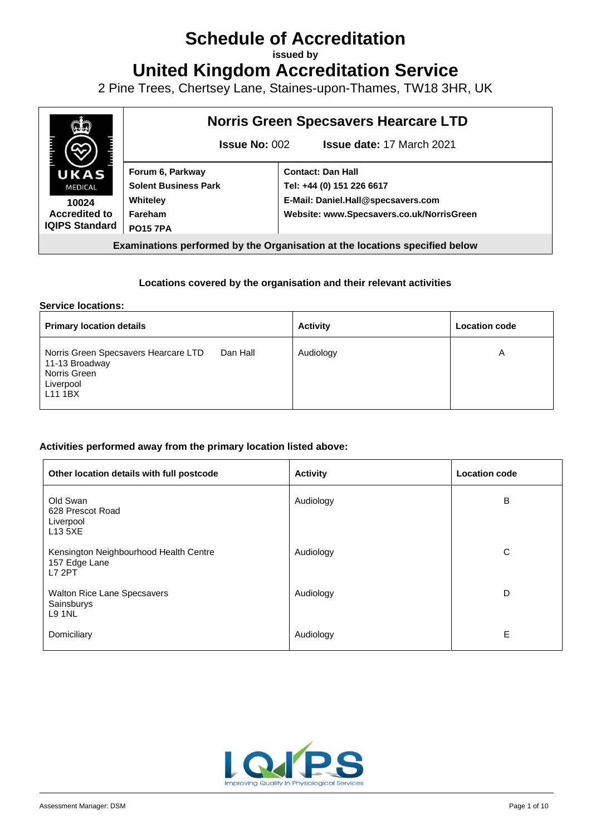# **Schedule of Accreditation**

**issued by**

**United Kingdom Accreditation Service**

2 Pine Trees, Chertsey Lane, Staines-upon-Thames, TW18 3HR, UK



#### **Locations covered by the organisation and their relevant activities**

#### **Service locations:**

| <b>Primary location details</b>                                                                            |          | <b>Activity</b> | <b>Location code</b> |
|------------------------------------------------------------------------------------------------------------|----------|-----------------|----------------------|
| Norris Green Specsavers Hearcare LTD<br>11-13 Broadway<br>Norris Green<br>Liverpool<br>L <sub>11</sub> 1BX | Dan Hall | Audiology       | А                    |

#### **Activities performed away from the primary location listed above:**

| Other location details with full postcode                                | <b>Activity</b> | <b>Location code</b> |
|--------------------------------------------------------------------------|-----------------|----------------------|
| Old Swan<br>628 Prescot Road<br>Liverpool<br>L13 5XE                     | Audiology       | B                    |
| Kensington Neighbourhood Health Centre<br>157 Edge Lane<br><b>L7 2PT</b> | Audiology       | C                    |
| <b>Walton Rice Lane Specsavers</b><br>Sainsburys<br><b>L9 1NL</b>        | Audiology       | D                    |
| Domiciliary                                                              | Audiology       | E                    |

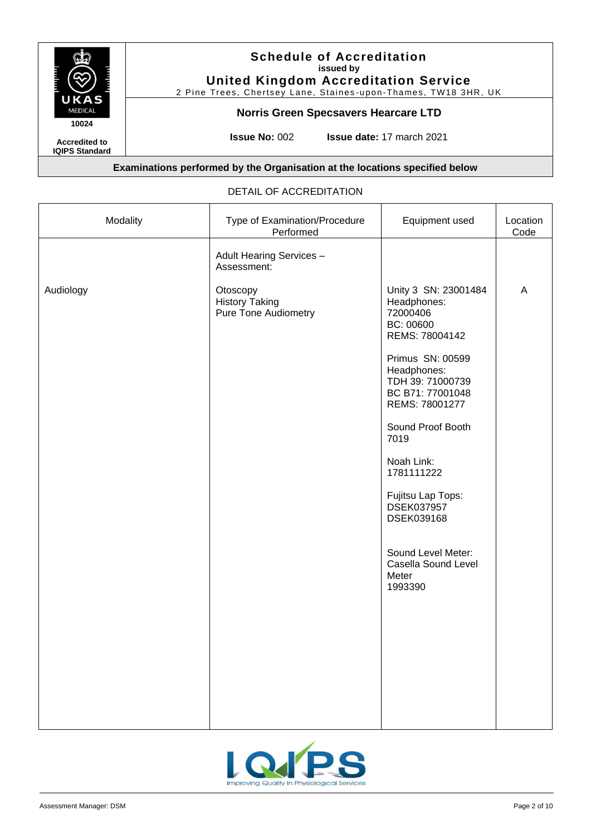

2 Pine Trees, Chertsey Lane, Staines-upon-Thames, TW18 3HR, UK

## **Norris Green Specsavers Hearcare LTD**

**Accredited to IQIPS Standard** **Issue No:** 002 **Issue date:** 17 march 2021

### **Examinations performed by the Organisation at the locations specified below**

#### DETAIL OF ACCREDITATION

| Modality  | Type of Examination/Procedure<br>Performed                       | Equipment used                                                                                                                                                                                                                                                                                                                                                | Location<br>Code |
|-----------|------------------------------------------------------------------|---------------------------------------------------------------------------------------------------------------------------------------------------------------------------------------------------------------------------------------------------------------------------------------------------------------------------------------------------------------|------------------|
|           | Adult Hearing Services -<br>Assessment:                          |                                                                                                                                                                                                                                                                                                                                                               |                  |
| Audiology | Otoscopy<br><b>History Taking</b><br><b>Pure Tone Audiometry</b> | Unity 3 SN: 23001484<br>Headphones:<br>72000406<br>BC: 00600<br>REMS: 78004142<br>Primus SN: 00599<br>Headphones:<br>TDH 39: 71000739<br>BC B71: 77001048<br>REMS: 78001277<br>Sound Proof Booth<br>7019<br>Noah Link:<br>1781111222<br>Fujitsu Lap Tops:<br><b>DSEK037957</b><br>DSEK039168<br>Sound Level Meter:<br>Casella Sound Level<br>Meter<br>1993390 | A                |
|           |                                                                  |                                                                                                                                                                                                                                                                                                                                                               |                  |
|           |                                                                  |                                                                                                                                                                                                                                                                                                                                                               |                  |
|           |                                                                  |                                                                                                                                                                                                                                                                                                                                                               |                  |

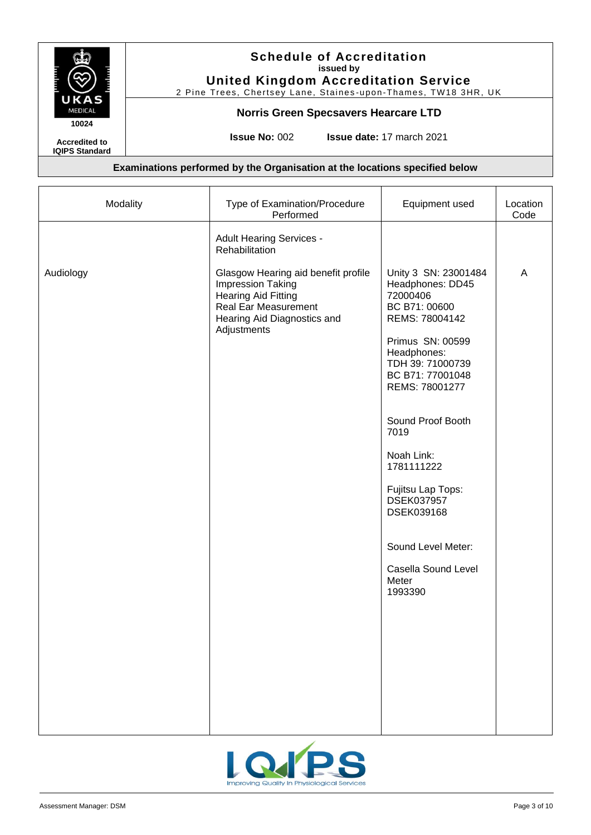

2 Pine Trees, Chertsey Lane, Staines-upon-Thames, TW18 3HR, UK

#### **Norris Green Specsavers Hearcare LTD**

**Accredited to**

**IQIPS Standard**

**Issue No:** 002 **Issue date:** 17 march 2021

| Modality  | Type of Examination/Procedure<br>Performed                                                                                                                                                                               | Equipment used                                                                                                                                                                                                    | Location<br>Code |
|-----------|--------------------------------------------------------------------------------------------------------------------------------------------------------------------------------------------------------------------------|-------------------------------------------------------------------------------------------------------------------------------------------------------------------------------------------------------------------|------------------|
| Audiology | <b>Adult Hearing Services -</b><br>Rehabilitation<br>Glasgow Hearing aid benefit profile<br>Impression Taking<br><b>Hearing Aid Fitting</b><br><b>Real Ear Measurement</b><br>Hearing Aid Diagnostics and<br>Adjustments | Unity 3 SN: 23001484<br>Headphones: DD45<br>72000406<br>BC B71: 00600<br>REMS: 78004142<br>Primus SN: 00599<br>Headphones:<br>TDH 39: 71000739<br>BC B71: 77001048<br>REMS: 78001277<br>Sound Proof Booth<br>7019 | A                |
|           |                                                                                                                                                                                                                          | Noah Link:<br>1781111222<br>Fujitsu Lap Tops:<br>DSEK037957<br>DSEK039168                                                                                                                                         |                  |
|           |                                                                                                                                                                                                                          | Sound Level Meter:<br>Casella Sound Level<br>Meter<br>1993390                                                                                                                                                     |                  |
|           |                                                                                                                                                                                                                          |                                                                                                                                                                                                                   |                  |
|           |                                                                                                                                                                                                                          |                                                                                                                                                                                                                   |                  |

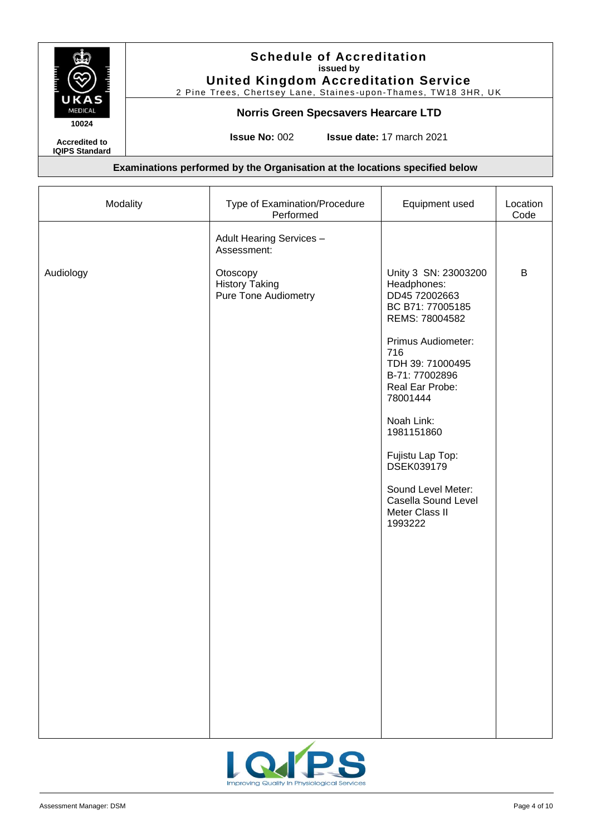

2 Pine Trees, Chertsey Lane, Staines-upon-Thames, TW18 3HR, UK

## **Norris Green Specsavers Hearcare LTD**

**Accredited to**

**IQIPS Standard**

**Issue No:** 002 **Issue date:** 17 march 2021

| Modality  | Type of Examination/Procedure<br>Performed                       | Equipment used                                                                                                                                                                                                                                                                                                                       | Location<br>Code |
|-----------|------------------------------------------------------------------|--------------------------------------------------------------------------------------------------------------------------------------------------------------------------------------------------------------------------------------------------------------------------------------------------------------------------------------|------------------|
|           | Adult Hearing Services -<br>Assessment:                          |                                                                                                                                                                                                                                                                                                                                      |                  |
| Audiology | Otoscopy<br><b>History Taking</b><br><b>Pure Tone Audiometry</b> | Unity 3 SN: 23003200<br>Headphones:<br>DD45 72002663<br>BC B71: 77005185<br>REMS: 78004582<br>Primus Audiometer:<br>716<br>TDH 39: 71000495<br>B-71: 77002896<br>Real Ear Probe:<br>78001444<br>Noah Link:<br>1981151860<br>Fujistu Lap Top:<br>DSEK039179<br>Sound Level Meter:<br>Casella Sound Level<br>Meter Class II<br>1993222 | B                |

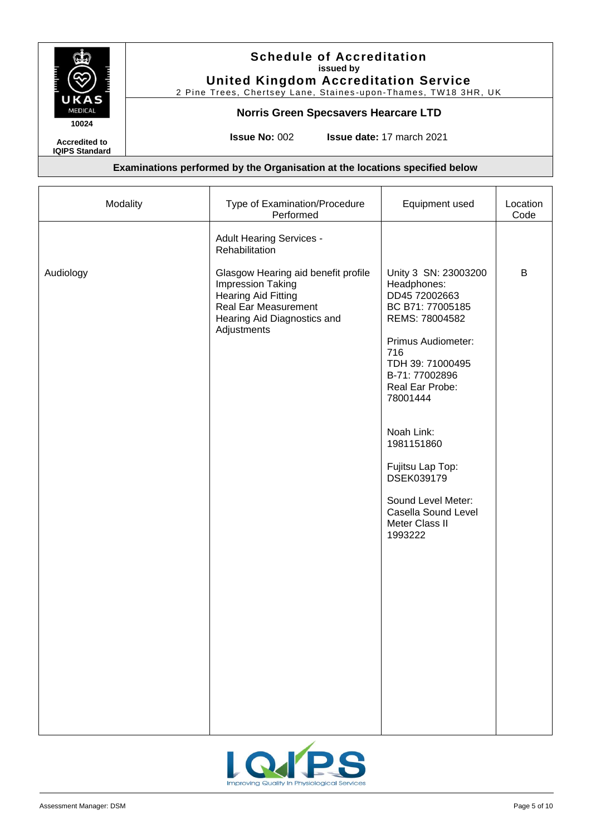

2 Pine Trees, Chertsey Lane, Staines-upon-Thames, TW18 3HR, UK

#### **Norris Green Specsavers Hearcare LTD**

**Accredited to**

**IQIPS Standard**

**Issue No:** 002 **Issue date:** 17 march 2021

| Modality  | Type of Examination/Procedure<br>Performed                                                                                                                                 | Equipment used                                                                                                                                                                                                                                                                                                                       | Location<br>Code |
|-----------|----------------------------------------------------------------------------------------------------------------------------------------------------------------------------|--------------------------------------------------------------------------------------------------------------------------------------------------------------------------------------------------------------------------------------------------------------------------------------------------------------------------------------|------------------|
|           | <b>Adult Hearing Services -</b><br>Rehabilitation                                                                                                                          |                                                                                                                                                                                                                                                                                                                                      |                  |
| Audiology | Glasgow Hearing aid benefit profile<br><b>Impression Taking</b><br><b>Hearing Aid Fitting</b><br><b>Real Ear Measurement</b><br>Hearing Aid Diagnostics and<br>Adjustments | Unity 3 SN: 23003200<br>Headphones:<br>DD45 72002663<br>BC B71: 77005185<br>REMS: 78004582<br>Primus Audiometer:<br>716<br>TDH 39: 71000495<br>B-71: 77002896<br>Real Ear Probe:<br>78001444<br>Noah Link:<br>1981151860<br>Fujitsu Lap Top:<br>DSEK039179<br>Sound Level Meter:<br>Casella Sound Level<br>Meter Class II<br>1993222 | B                |

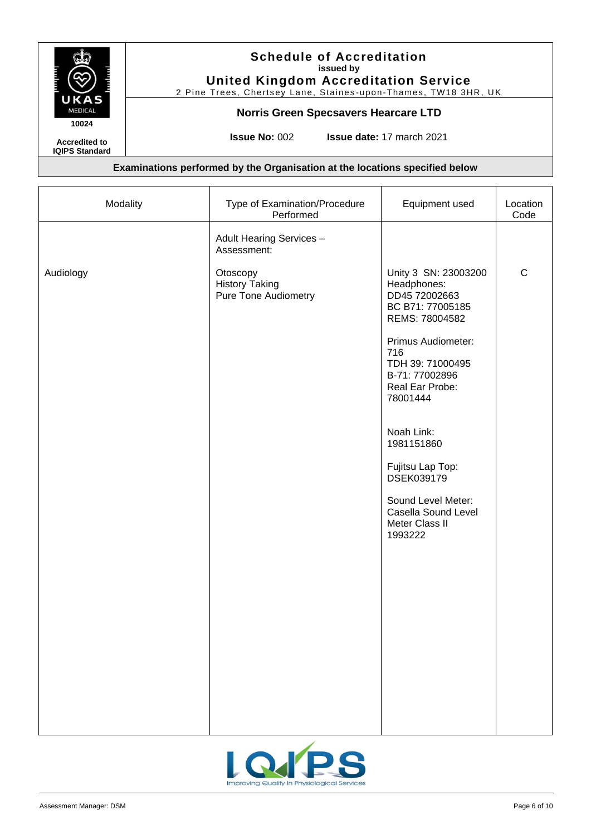

2 Pine Trees, Chertsey Lane, Staines-upon-Thames, TW18 3HR, UK

## **Norris Green Specsavers Hearcare LTD**

**Accredited to**

**IQIPS Standard**

**Issue No:** 002 **Issue date:** 17 march 2021

| Modality  | Type of Examination/Procedure<br>Performed                       | Equipment used                                                                                                                                                                                                                                                                                                                       | Location<br>Code |
|-----------|------------------------------------------------------------------|--------------------------------------------------------------------------------------------------------------------------------------------------------------------------------------------------------------------------------------------------------------------------------------------------------------------------------------|------------------|
|           | Adult Hearing Services -<br>Assessment:                          |                                                                                                                                                                                                                                                                                                                                      |                  |
| Audiology | Otoscopy<br><b>History Taking</b><br><b>Pure Tone Audiometry</b> | Unity 3 SN: 23003200<br>Headphones:<br>DD45 72002663<br>BC B71: 77005185<br>REMS: 78004582<br>Primus Audiometer:<br>716<br>TDH 39: 71000495<br>B-71: 77002896<br>Real Ear Probe:<br>78001444<br>Noah Link:<br>1981151860<br>Fujitsu Lap Top:<br>DSEK039179<br>Sound Level Meter:<br>Casella Sound Level<br>Meter Class II<br>1993222 | $\mathsf{C}$     |
|           |                                                                  |                                                                                                                                                                                                                                                                                                                                      |                  |

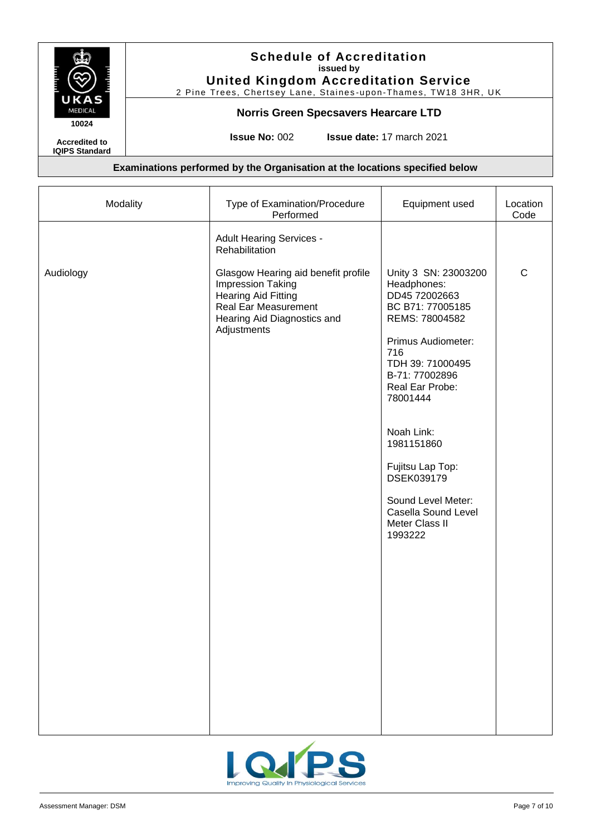

2 Pine Trees, Chertsey Lane, Staines-upon-Thames, TW18 3HR, UK

#### **Norris Green Specsavers Hearcare LTD**

**Accredited to**

**IQIPS Standard**

**Issue No:** 002 **Issue date:** 17 march 2021

| Modality  | Type of Examination/Procedure<br>Performed                                                                                                                          | Equipment used                                                                                                                                                                                                                                                                                                                       | Location<br>Code |
|-----------|---------------------------------------------------------------------------------------------------------------------------------------------------------------------|--------------------------------------------------------------------------------------------------------------------------------------------------------------------------------------------------------------------------------------------------------------------------------------------------------------------------------------|------------------|
|           | <b>Adult Hearing Services -</b><br>Rehabilitation                                                                                                                   |                                                                                                                                                                                                                                                                                                                                      |                  |
| Audiology | Glasgow Hearing aid benefit profile<br>Impression Taking<br><b>Hearing Aid Fitting</b><br><b>Real Ear Measurement</b><br>Hearing Aid Diagnostics and<br>Adjustments | Unity 3 SN: 23003200<br>Headphones:<br>DD45 72002663<br>BC B71: 77005185<br>REMS: 78004582<br>Primus Audiometer:<br>716<br>TDH 39: 71000495<br>B-71: 77002896<br>Real Ear Probe:<br>78001444<br>Noah Link:<br>1981151860<br>Fujitsu Lap Top:<br>DSEK039179<br>Sound Level Meter:<br>Casella Sound Level<br>Meter Class II<br>1993222 | $\mathsf C$      |

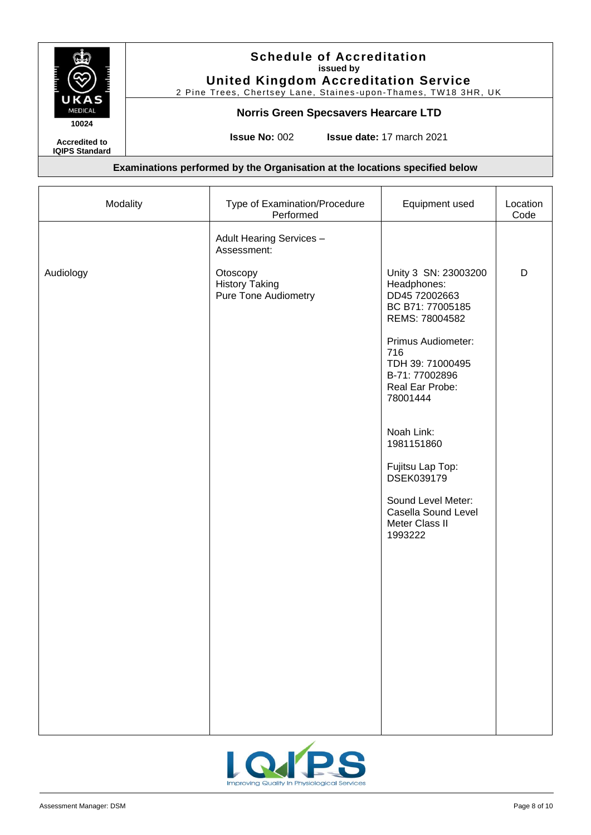

2 Pine Trees, Chertsey Lane, Staines-upon-Thames, TW18 3HR, UK

## **Norris Green Specsavers Hearcare LTD**

**Accredited to**

**IQIPS Standard**

**Issue No:** 002 **Issue date:** 17 march 2021

| Modality  | Type of Examination/Procedure<br>Performed                       | Equipment used                                                                                                                                                                                                                                                                                                                       | Location<br>Code |
|-----------|------------------------------------------------------------------|--------------------------------------------------------------------------------------------------------------------------------------------------------------------------------------------------------------------------------------------------------------------------------------------------------------------------------------|------------------|
|           | Adult Hearing Services -<br>Assessment:                          |                                                                                                                                                                                                                                                                                                                                      |                  |
| Audiology | Otoscopy<br><b>History Taking</b><br><b>Pure Tone Audiometry</b> | Unity 3 SN: 23003200<br>Headphones:<br>DD45 72002663<br>BC B71: 77005185<br>REMS: 78004582<br>Primus Audiometer:<br>716<br>TDH 39: 71000495<br>B-71: 77002896<br>Real Ear Probe:<br>78001444<br>Noah Link:<br>1981151860<br>Fujitsu Lap Top:<br>DSEK039179<br>Sound Level Meter:<br>Casella Sound Level<br>Meter Class II<br>1993222 | D                |
|           |                                                                  |                                                                                                                                                                                                                                                                                                                                      |                  |

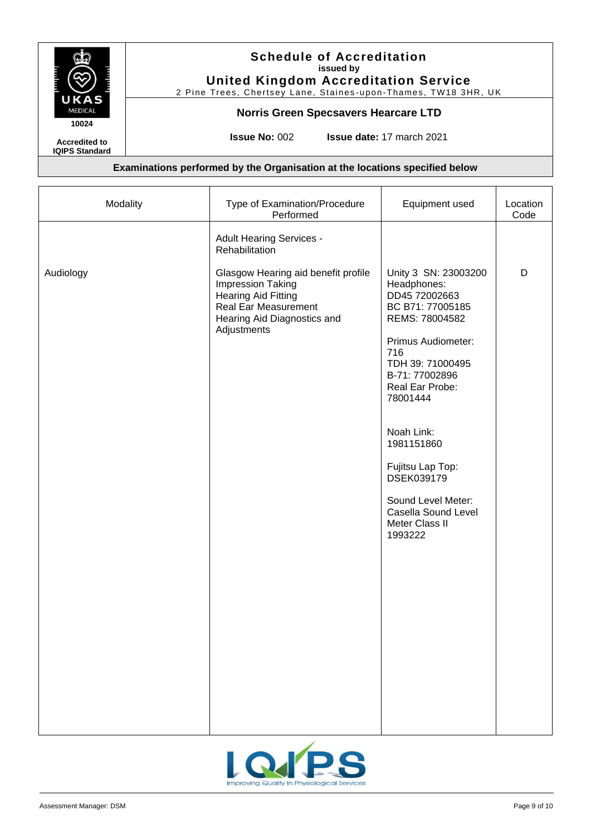

2 Pine Trees, Chertsey Lane, Staines-upon-Thames, TW18 3HR, UK

#### **Norris Green Specsavers Hearcare LTD**

**Accredited to**

**IQIPS Standard**

**Issue No:** 002 **Issue date:** 17 march 2021

| Modality  | Type of Examination/Procedure<br>Performed                                                                                                                                 | Equipment used                                                                                                                                                                                                                                                                                                                       | Location<br>Code |
|-----------|----------------------------------------------------------------------------------------------------------------------------------------------------------------------------|--------------------------------------------------------------------------------------------------------------------------------------------------------------------------------------------------------------------------------------------------------------------------------------------------------------------------------------|------------------|
|           | <b>Adult Hearing Services -</b><br>Rehabilitation                                                                                                                          |                                                                                                                                                                                                                                                                                                                                      |                  |
| Audiology | Glasgow Hearing aid benefit profile<br><b>Impression Taking</b><br><b>Hearing Aid Fitting</b><br><b>Real Ear Measurement</b><br>Hearing Aid Diagnostics and<br>Adjustments | Unity 3 SN: 23003200<br>Headphones:<br>DD45 72002663<br>BC B71: 77005185<br>REMS: 78004582<br>Primus Audiometer:<br>716<br>TDH 39: 71000495<br>B-71: 77002896<br>Real Ear Probe:<br>78001444<br>Noah Link:<br>1981151860<br>Fujitsu Lap Top:<br>DSEK039179<br>Sound Level Meter:<br>Casella Sound Level<br>Meter Class II<br>1993222 | D                |